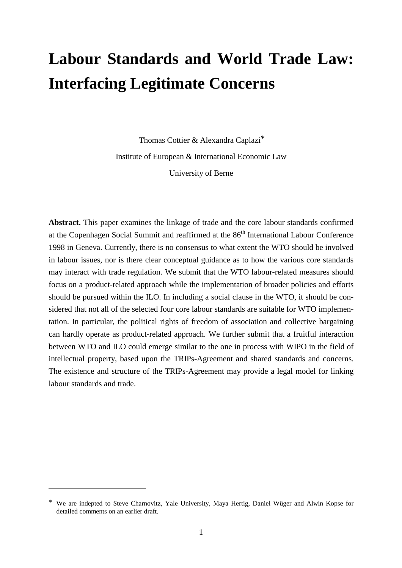# **Labour Standards and World Trade Law: Interfacing Legitimate Concerns**

Thomas Cottier & Alexandra Caplazi<sup>∗</sup> Institute of European & International Economic Law University of Berne

**Abstract.** This paper examines the linkage of trade and the core labour standards confirmed at the Copenhagen Social Summit and reaffirmed at the  $86<sup>th</sup>$  International Labour Conference 1998 in Geneva. Currently, there is no consensus to what extent the WTO should be involved in labour issues, nor is there clear conceptual guidance as to how the various core standards may interact with trade regulation. We submit that the WTO labour-related measures should focus on a product-related approach while the implementation of broader policies and efforts should be pursued within the ILO. In including a social clause in the WTO, it should be considered that not all of the selected four core labour standards are suitable for WTO implementation. In particular, the political rights of freedom of association and collective bargaining can hardly operate as product-related approach. We further submit that a fruitful interaction between WTO and ILO could emerge similar to the one in process with WIPO in the field of intellectual property, based upon the TRIPs-Agreement and shared standards and concerns. The existence and structure of the TRIPs-Agreement may provide a legal model for linking labour standards and trade.

<sup>∗</sup> We are indepted to Steve Charnovitz, Yale University, Maya Hertig, Daniel Wüger and Alwin Kopse for detailed comments on an earlier draft.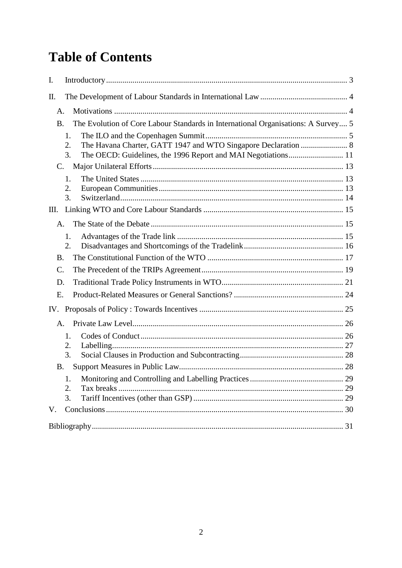# **Table of Contents**

| I.                                                                                             |  |
|------------------------------------------------------------------------------------------------|--|
| Π.                                                                                             |  |
| A.                                                                                             |  |
| The Evolution of Core Labour Standards in International Organisations: A Survey 5<br><b>B.</b> |  |
| $\mathbf{1}$ .<br>2.<br>3.                                                                     |  |
| C.                                                                                             |  |
| 1.<br>2.<br>3.                                                                                 |  |
| Ш.                                                                                             |  |
| $A_{\cdot}$                                                                                    |  |
| 1.<br>2.                                                                                       |  |
| <b>B.</b>                                                                                      |  |
| $\mathcal{C}$ .                                                                                |  |
| D.                                                                                             |  |
| Ε.                                                                                             |  |
|                                                                                                |  |
| A.                                                                                             |  |
| 1.<br>2.<br>3.                                                                                 |  |
| Β.                                                                                             |  |
| 1.<br>Tax breaks.<br>2.<br>3.                                                                  |  |
| V.                                                                                             |  |
|                                                                                                |  |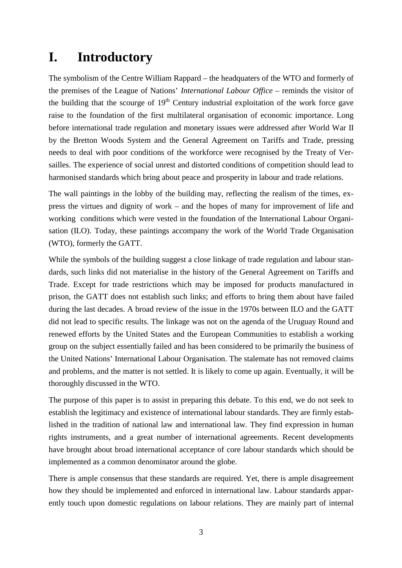# **I. Introductory**

The symbolism of the Centre William Rappard – the headquaters of the WTO and formerly of the premises of the League of Nations' *International Labour Office* – reminds the visitor of the building that the scourge of  $19<sup>th</sup>$  Century industrial exploitation of the work force gave raise to the foundation of the first multilateral organisation of economic importance. Long before international trade regulation and monetary issues were addressed after World War II by the Bretton Woods System and the General Agreement on Tariffs and Trade, pressing needs to deal with poor conditions of the workforce were recognised by the Treaty of Versailles. The experience of social unrest and distorted conditions of competition should lead to harmonised standards which bring about peace and prosperity in labour and trade relations.

The wall paintings in the lobby of the building may, reflecting the realism of the times, express the virtues and dignity of work – and the hopes of many for improvement of life and working conditions which were vested in the foundation of the International Labour Organisation (ILO). Today, these paintings accompany the work of the World Trade Organisation (WTO), formerly the GATT.

While the symbols of the building suggest a close linkage of trade regulation and labour standards, such links did not materialise in the history of the General Agreement on Tariffs and Trade. Except for trade restrictions which may be imposed for products manufactured in prison, the GATT does not establish such links; and efforts to bring them about have failed during the last decades. A broad review of the issue in the 1970s between ILO and the GATT did not lead to specific results. The linkage was not on the agenda of the Uruguay Round and renewed efforts by the United States and the European Communities to establish a working group on the subject essentially failed and has been considered to be primarily the business of the United Nations' International Labour Organisation. The stalemate has not removed claims and problems, and the matter is not settled. It is likely to come up again. Eventually, it will be thoroughly discussed in the WTO.

The purpose of this paper is to assist in preparing this debate. To this end, we do not seek to establish the legitimacy and existence of international labour standards. They are firmly established in the tradition of national law and international law. They find expression in human rights instruments, and a great number of international agreements. Recent developments have brought about broad international acceptance of core labour standards which should be implemented as a common denominator around the globe.

There is ample consensus that these standards are required. Yet, there is ample disagreement how they should be implemented and enforced in international law. Labour standards apparently touch upon domestic regulations on labour relations. They are mainly part of internal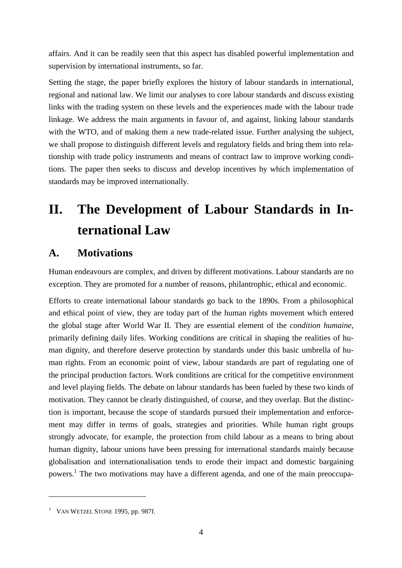affairs. And it can be readily seen that this aspect has disabled powerful implementation and supervision by international instruments, so far.

Setting the stage, the paper briefly explores the history of labour standards in international, regional and national law. We limit our analyses to core labour standards and discuss existing links with the trading system on these levels and the experiences made with the labour trade linkage. We address the main arguments in favour of, and against, linking labour standards with the WTO, and of making them a new trade-related issue. Further analysing the subject, we shall propose to distinguish different levels and regulatory fields and bring them into relationship with trade policy instruments and means of contract law to improve working conditions. The paper then seeks to discuss and develop incentives by which implementation of standards may be improved internationally.

# **II. The Development of Labour Standards in International Law**

## **A. Motivations**

Human endeavours are complex, and driven by different motivations. Labour standards are no exception. They are promoted for a number of reasons, philantrophic, ethical and economic.

Efforts to create international labour standards go back to the 1890s. From a philosophical and ethical point of view, they are today part of the human rights movement which entered the global stage after World War II. They are essential element of the *condition humaine*, primarily defining daily lifes. Working conditions are critical in shaping the realities of human dignity, and therefore deserve protection by standards under this basic umbrella of human rights. From an economic point of view, labour standards are part of regulating one of the principal production factors. Work conditions are critical for the competitive environment and level playing fields. The debate on labour standards has been fueled by these two kinds of motivation. They cannot be clearly distinguished, of course, and they overlap. But the distinction is important, because the scope of standards pursued their implementation and enforcement may differ in terms of goals, strategies and priorities. While human right groups strongly advocate, for example, the protection from child labour as a means to bring about human dignity, labour unions have been pressing for international standards mainly because globalisation and internationalisation tends to erode their impact and domestic bargaining powers.<sup>1</sup> The two motivations may have a different agenda, and one of the main preoccupa-

 $1$  VAN WETZEL STONE 1995, pp. 987f.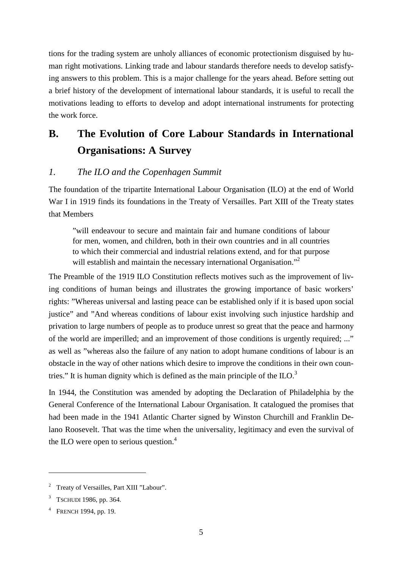tions for the trading system are unholy alliances of economic protectionism disguised by human right motivations. Linking trade and labour standards therefore needs to develop satisfying answers to this problem. This is a major challenge for the years ahead. Before setting out a brief history of the development of international labour standards, it is useful to recall the motivations leading to efforts to develop and adopt international instruments for protecting the work force.

## **B. The Evolution of Core Labour Standards in International Organisations: A Survey**

#### *1. The ILO and the Copenhagen Summit*

The foundation of the tripartite International Labour Organisation (ILO) at the end of World War I in 1919 finds its foundations in the Treaty of Versailles. Part XIII of the Treaty states that Members

"will endeavour to secure and maintain fair and humane conditions of labour for men, women, and children, both in their own countries and in all countries to which their commercial and industrial relations extend, and for that purpose will establish and maintain the necessary international Organisation."<sup>2</sup>

The Preamble of the 1919 ILO Constitution reflects motives such as the improvement of living conditions of human beings and illustrates the growing importance of basic workers' rights: "Whereas universal and lasting peace can be established only if it is based upon social justice" and "And whereas conditions of labour exist involving such injustice hardship and privation to large numbers of people as to produce unrest so great that the peace and harmony of the world are imperilled; and an improvement of those conditions is urgently required; ..." as well as "whereas also the failure of any nation to adopt humane conditions of labour is an obstacle in the way of other nations which desire to improve the conditions in their own countries." It is human dignity which is defined as the main principle of the  $ILO$ .<sup>3</sup>

In 1944, the Constitution was amended by adopting the Declaration of Philadelphia by the General Conference of the International Labour Organisation. It catalogued the promises that had been made in the 1941 Atlantic Charter signed by Winston Churchill and Franklin Delano Roosevelt. That was the time when the universality, legitimacy and even the survival of the ILO were open to serious question. $4$ 

<sup>&</sup>lt;sup>2</sup> Treaty of Versailles, Part XIII "Labour".

<sup>&</sup>lt;sup>3</sup> TSCHUDI 1986, pp. 364.

<sup>&</sup>lt;sup>4</sup> FRENCH 1994, pp. 19.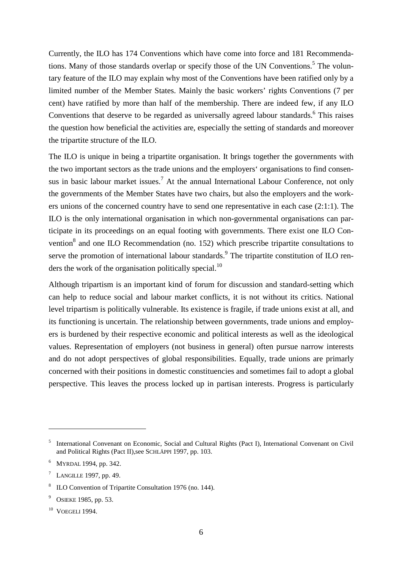Currently, the ILO has 174 Conventions which have come into force and 181 Recommendations. Many of those standards overlap or specify those of the UN Conventions.<sup>5</sup> The voluntary feature of the ILO may explain why most of the Conventions have been ratified only by a limited number of the Member States. Mainly the basic workers' rights Conventions (7 per cent) have ratified by more than half of the membership. There are indeed few, if any ILO Conventions that deserve to be regarded as universally agreed labour standards.<sup>6</sup> This raises the question how beneficial the activities are, especially the setting of standards and moreover the tripartite structure of the ILO.

The ILO is unique in being a tripartite organisation. It brings together the governments with the two important sectors as the trade unions and the employers' organisations to find consensus in basic labour market issues.<sup>7</sup> At the annual International Labour Conference, not only the governments of the Member States have two chairs, but also the employers and the workers unions of the concerned country have to send one representative in each case (2:1:1). The ILO is the only international organisation in which non-governmental organisations can participate in its proceedings on an equal footing with governments. There exist one ILO Convention $^8$  and one ILO Recommendation (no. 152) which prescribe tripartite consultations to serve the promotion of international labour standards.<sup>9</sup> The tripartite constitution of ILO renders the work of the organisation politically special.<sup>10</sup>

Although tripartism is an important kind of forum for discussion and standard-setting which can help to reduce social and labour market conflicts, it is not without its critics. National level tripartism is politically vulnerable. Its existence is fragile, if trade unions exist at all, and its functioning is uncertain. The relationship between governments, trade unions and employers is burdened by their respective economic and political interests as well as the ideological values. Representation of employers (not business in general) often pursue narrow interests and do not adopt perspectives of global responsibilities. Equally, trade unions are primarly concerned with their positions in domestic constituencies and sometimes fail to adopt a global perspective. This leaves the process locked up in partisan interests. Progress is particularly

<sup>&</sup>lt;sup>5</sup> International Convenant on Economic, Social and Cultural Rights (Pact I), International Convenant on Civil and Political Rights (Pact II),see SCHLÄPPI 1997, pp. 103.

<sup>&</sup>lt;sup>6</sup> MYRDAL 1994, pp. 342.

 $^7$  LANGILLE 1997, pp. 49.

<sup>&</sup>lt;sup>8</sup> ILO Convention of Tripartite Consultation 1976 (no. 144).

<sup>&</sup>lt;sup>9</sup> OSIEKE 1985, pp. 53.

 $10$  VOEGELI 1994.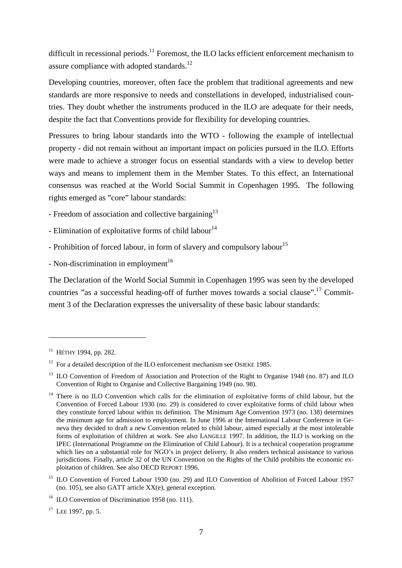difficult in recessional periods.<sup>11</sup> Foremost, the ILO lacks efficient enforcement mechanism to assure compliance with adopted standards.<sup>12</sup>

Developing countries, moreover, often face the problem that traditional agreements and new standards are more responsive to needs and constellations in developed, industrialised countries. They doubt whether the instruments produced in the ILO are adequate for their needs, despite the fact that Conventions provide for flexibility for developing countries.

Pressures to bring labour standards into the WTO - following the example of intellectual property - did not remain without an important impact on policies pursued in the ILO. Efforts were made to achieve a stronger focus on essential standards with a view to develop better ways and means to implement them in the Member States. To this effect, an International consensus was reached at the World Social Summit in Copenhagen 1995. The following rights emerged as "core" labour standards:

- Freedom of association and collective bargaining<sup>13</sup>
- Elimination of exploitative forms of child labour<sup>14</sup>
- Prohibition of forced labour, in form of slavery and compulsory labour<sup>15</sup>
- Non-discrimination in employment<sup>16</sup>

The Declaration of the World Social Summit in Copenhagen 1995 was seen by the developed countries "as a successful heading-off of further moves towards a social clause".17 Commitment 3 of the Declaration expresses the universality of these basic labour standards:

 $11$  HÉTHY 1994, pp. 282.

 $12$  For a detailed description of the ILO enforcement mechanism see OSIEKE 1985.

<sup>&</sup>lt;sup>13</sup> ILO Convention of Freedom of Association and Protection of the Right to Organise 1948 (no. 87) and ILO Convention of Right to Organise and Collective Bargaining 1949 (no. 98).

<sup>&</sup>lt;sup>14</sup> There is no ILO Convention which calls for the elimination of exploitative forms of child labour, but the Convention of Forced Labour 1930 (no. 29) is considered to cover exploitative forms of child labour when they constitute forced labour within its definition. The Minimum Age Convention 1973 (no. 138) determines the minimum age for admission to employment. In June 1996 at the International Labour Conference in Geneva they decided to draft a new Convention related to child labour, aimed especially at the most intolerable forms of exploitation of children at work. See also LANGILLE 1997. In addition, the ILO is working on the IPEC (International Programme on the Elimination of Child Labour). It is a technical cooperation programme which lies on a substantial role for NGO's in project delivery. It also renders technical assistance to various jurisdictions. Finally, article 32 of the UN Convention on the Rights of the Child prohibits the economic exploitation of children. See also OECD REPORT 1996.

<sup>&</sup>lt;sup>15</sup> ILO Convention of Forced Labour 1930 (no. 29) and ILO Convention of Abolition of Forced Labour 1957 (no. 105), see also GATT article XX(e), general exception.

<sup>&</sup>lt;sup>16</sup> ILO Convention of Discrimination 1958 (no. 111).

<sup>&</sup>lt;sup>17</sup> LEE 1997, pp. 5.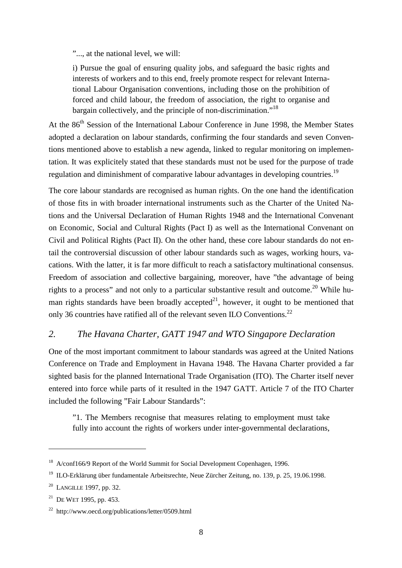"..., at the national level, we will:

i) Pursue the goal of ensuring quality jobs, and safeguard the basic rights and interests of workers and to this end, freely promote respect for relevant International Labour Organisation conventions, including those on the prohibition of forced and child labour, the freedom of association, the right to organise and bargain collectively, and the principle of non-discrimination."<sup>18</sup>

At the 86<sup>th</sup> Session of the International Labour Conference in June 1998, the Member States adopted a declaration on labour standards, confirming the four standards and seven Conventions mentioned above to establish a new agenda, linked to regular monitoring on implementation. It was explicitely stated that these standards must not be used for the purpose of trade regulation and diminishment of comparative labour advantages in developing countries.<sup>19</sup>

The core labour standards are recognised as human rights. On the one hand the identification of those fits in with broader international instruments such as the Charter of the United Nations and the Universal Declaration of Human Rights 1948 and the International Convenant on Economic, Social and Cultural Rights (Pact I) as well as the International Convenant on Civil and Political Rights (Pact II). On the other hand, these core labour standards do not entail the controversial discussion of other labour standards such as wages, working hours, vacations. With the latter, it is far more difficult to reach a satisfactory multinational consensus. Freedom of association and collective bargaining, moreover, have "the advantage of being rights to a process" and not only to a particular substantive result and outcome.<sup>20</sup> While human rights standards have been broadly accepted<sup>21</sup>, however, it ought to be mentioned that only 36 countries have ratified all of the relevant seven ILO Conventions.<sup>22</sup>

#### *2. The Havana Charter, GATT 1947 and WTO Singapore Declaration*

One of the most important commitment to labour standards was agreed at the United Nations Conference on Trade and Employment in Havana 1948. The Havana Charter provided a far sighted basis for the planned International Trade Organisation (ITO). The Charter itself never entered into force while parts of it resulted in the 1947 GATT. Article 7 of the ITO Charter included the following "Fair Labour Standards":

"1. The Members recognise that measures relating to employment must take fully into account the rights of workers under inter-governmental declarations.

<sup>&</sup>lt;sup>18</sup> A/conf166/9 Report of the World Summit for Social Development Copenhagen, 1996.

<sup>&</sup>lt;sup>19</sup> ILO-Erklärung über fundamentale Arbeitsrechte, Neue Zürcher Zeitung, no. 139, p. 25, 19.06.1998.

<sup>20</sup> LANGILLE 1997, pp. 32.

<sup>&</sup>lt;sup>21</sup> DE WET 1995, pp. 453.

<sup>22</sup> http://www.oecd.org/publications/letter/0509.html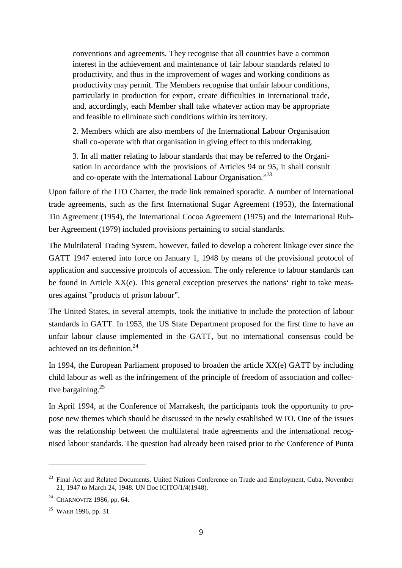conventions and agreements. They recognise that all countries have a common interest in the achievement and maintenance of fair labour standards related to productivity, and thus in the improvement of wages and working conditions as productivity may permit. The Members recognise that unfair labour conditions, particularly in production for export, create difficulties in international trade, and, accordingly, each Member shall take whatever action may be appropriate and feasible to eliminate such conditions within its territory.

2. Members which are also members of the International Labour Organisation shall co-operate with that organisation in giving effect to this undertaking.

3. In all matter relating to labour standards that may be referred to the Organisation in accordance with the provisions of Articles 94 or 95, it shall consult and co-operate with the International Labour Organisation."*<sup>23</sup>*

Upon failure of the ITO Charter, the trade link remained sporadic. A number of international trade agreements, such as the first International Sugar Agreement (1953), the International Tin Agreement (1954), the International Cocoa Agreement (1975) and the International Rubber Agreement (1979) included provisions pertaining to social standards.

The Multilateral Trading System, however, failed to develop a coherent linkage ever since the GATT 1947 entered into force on January 1, 1948 by means of the provisional protocol of application and successive protocols of accession. The only reference to labour standards can be found in Article XX(e). This general exception preserves the nations' right to take measures against "products of prison labour".

The United States, in several attempts, took the initiative to include the protection of labour standards in GATT. In 1953, the US State Department proposed for the first time to have an unfair labour clause implemented in the GATT, but no international consensus could be achieved on its definition.24

In 1994, the European Parliament proposed to broaden the article  $XX(e)$  GATT by including child labour as well as the infringement of the principle of freedom of association and collective bargaining.<sup>25</sup>

In April 1994, at the Conference of Marrakesh, the participants took the opportunity to propose new themes which should be discussed in the newly established WTO. One of the issues was the relationship between the multilateral trade agreements and the international recognised labour standards. The question had already been raised prior to the Conference of Punta

<sup>&</sup>lt;sup>23</sup> Final Act and Related Documents, United Nations Conference on Trade and Employment, Cuba, November 21, 1947 to March 24, 1948. UN Doc ICITO/1/4(1948).

<sup>&</sup>lt;sup>24</sup> CHARNOVITZ 1986, pp. 64.

<sup>&</sup>lt;sup>25</sup> WAER 1996, pp. 31.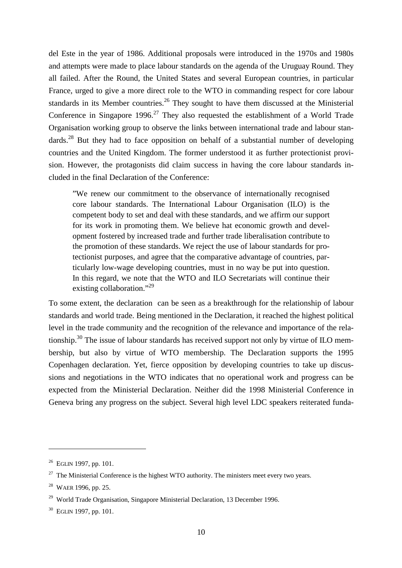del Este in the year of 1986. Additional proposals were introduced in the 1970s and 1980s and attempts were made to place labour standards on the agenda of the Uruguay Round. They all failed. After the Round, the United States and several European countries, in particular France, urged to give a more direct role to the WTO in commanding respect for core labour standards in its Member countries.<sup>26</sup> They sought to have them discussed at the Ministerial Conference in Singapore 1996.<sup>27</sup> They also requested the establishment of a World Trade Organisation working group to observe the links between international trade and labour standards.<sup>28</sup> But they had to face opposition on behalf of a substantial number of developing countries and the United Kingdom. The former understood it as further protectionist provision. However, the protagonists did claim success in having the core labour standards included in the final Declaration of the Conference:

"We renew our commitment to the observance of internationally recognised core labour standards. The International Labour Organisation (ILO) is the competent body to set and deal with these standards, and we affirm our support for its work in promoting them. We believe hat economic growth and development fostered by increased trade and further trade liberalisation contribute to the promotion of these standards. We reject the use of labour standards for protectionist purposes, and agree that the comparative advantage of countries, particularly low-wage developing countries, must in no way be put into question. In this regard, we note that the WTO and ILO Secretariats will continue their existing collaboration."<sup>29</sup>

To some extent, the declaration can be seen as a breakthrough for the relationship of labour standards and world trade. Being mentioned in the Declaration, it reached the highest political level in the trade community and the recognition of the relevance and importance of the relationship.30 The issue of labour standards has received support not only by virtue of ILO membership, but also by virtue of WTO membership. The Declaration supports the 1995 Copenhagen declaration. Yet, fierce opposition by developing countries to take up discussions and negotiations in the WTO indicates that no operational work and progress can be expected from the Ministerial Declaration. Neither did the 1998 Ministerial Conference in Geneva bring any progress on the subject. Several high level LDC speakers reiterated funda-

 $26$  EGLIN 1997, pp. 101.

 $27$  The Ministerial Conference is the highest WTO authority. The ministers meet every two years.

<sup>28</sup> WAER 1996, pp. 25.

 $29$  World Trade Organisation, Singapore Ministerial Declaration, 13 December 1996.

<sup>30</sup> EGLIN 1997, pp. 101.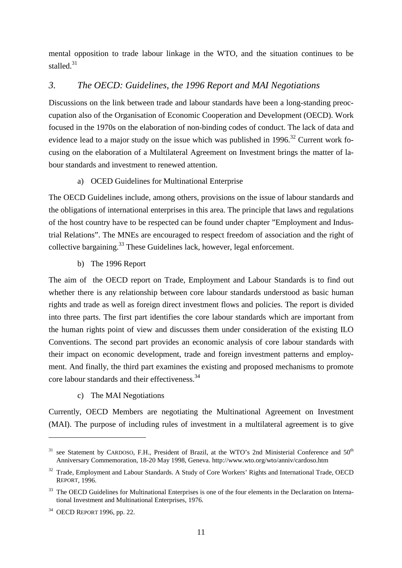mental opposition to trade labour linkage in the WTO, and the situation continues to be stalled.<sup>31</sup>

#### *3. The OECD: Guidelines, the 1996 Report and MAI Negotiations*

Discussions on the link between trade and labour standards have been a long-standing preoccupation also of the Organisation of Economic Cooperation and Development (OECD). Work focused in the 1970s on the elaboration of non-binding codes of conduct. The lack of data and evidence lead to a major study on the issue which was published in  $1996$ .<sup>32</sup> Current work focusing on the elaboration of a Multilateral Agreement on Investment brings the matter of labour standards and investment to renewed attention.

a) OCED Guidelines for Multinational Enterprise

The OECD Guidelines include, among others, provisions on the issue of labour standards and the obligations of international enterprises in this area. The principle that laws and regulations of the host country have to be respected can be found under chapter "Employment and Industrial Relations". The MNEs are encouraged to respect freedom of association and the right of collective bargaining.<sup>33</sup> These Guidelines lack, however, legal enforcement.

b) The 1996 Report

The aim of the OECD report on Trade, Employment and Labour Standards is to find out whether there is any relationship between core labour standards understood as basic human rights and trade as well as foreign direct investment flows and policies. The report is divided into three parts. The first part identifies the core labour standards which are important from the human rights point of view and discusses them under consideration of the existing ILO Conventions. The second part provides an economic analysis of core labour standards with their impact on economic development, trade and foreign investment patterns and employment. And finally, the third part examines the existing and proposed mechanisms to promote core labour standards and their effectiveness.<sup>34</sup>

c) The MAI Negotiations

Currently, OECD Members are negotiating the Multinational Agreement on Investment (MAI). The purpose of including rules of investment in a multilateral agreement is to give

 $31$  see Statement by CARDOSO, F.H., President of Brazil, at the WTO's 2nd Ministerial Conference and  $50<sup>th</sup>$ Anniversary Commemoration, 18-20 May 1998, Geneva. http://www.wto.org/wto/anniv/cardoso.htm

<sup>&</sup>lt;sup>32</sup> Trade, Employment and Labour Standards. A Study of Core Workers' Rights and International Trade, OECD REPORT, 1996.

<sup>&</sup>lt;sup>33</sup> The OECD Guidelines for Multinational Enterprises is one of the four elements in the Declaration on International Investment and Multinational Enterprises, 1976.

<sup>34</sup> OECD REPORT 1996, pp. 22.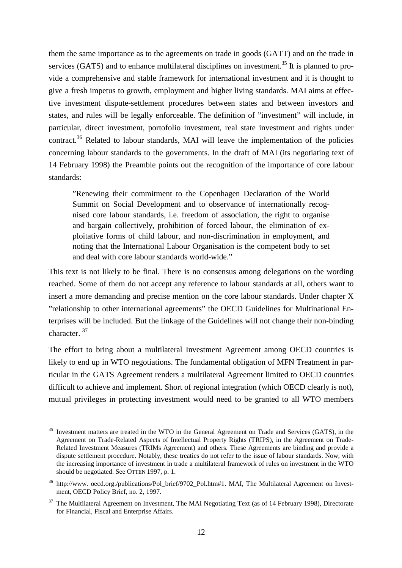them the same importance as to the agreements on trade in goods (GATT) and on the trade in services (GATS) and to enhance multilateral disciplines on investment.<sup>35</sup> It is planned to provide a comprehensive and stable framework for international investment and it is thought to give a fresh impetus to growth, employment and higher living standards. MAI aims at effective investment dispute-settlement procedures between states and between investors and states, and rules will be legally enforceable. The definition of "investment" will include, in particular, direct investment, portofolio investment, real state investment and rights under contract.<sup>36</sup> Related to labour standards, MAI will leave the implementation of the policies concerning labour standards to the governments. In the draft of MAI (its negotiating text of 14 February 1998) the Preamble points out the recognition of the importance of core labour standards:

"Renewing their commitment to the Copenhagen Declaration of the World Summit on Social Development and to observance of internationally recognised core labour standards, i.e. freedom of association, the right to organise and bargain collectively, prohibition of forced labour, the elimination of exploitative forms of child labour, and non-discrimination in employment, and noting that the International Labour Organisation is the competent body to set and deal with core labour standards world-wide."

This text is not likely to be final. There is no consensus among delegations on the wording reached. Some of them do not accept any reference to labour standards at all, others want to insert a more demanding and precise mention on the core labour standards. Under chapter X "relationship to other international agreements" the OECD Guidelines for Multinational Enterprises will be included. But the linkage of the Guidelines will not change their non-binding character. 37

The effort to bring about a multilateral Investment Agreement among OECD countries is likely to end up in WTO negotiations. The fundamental obligation of MFN Treatment in particular in the GATS Agreement renders a multilateral Agreement limited to OECD countries difficult to achieve and implement. Short of regional integration (which OECD clearly is not), mutual privileges in protecting investment would need to be granted to all WTO members

<sup>&</sup>lt;sup>35</sup> Investment matters are treated in the WTO in the General Agreement on Trade and Services (GATS), in the Agreement on Trade-Related Aspects of Intellectual Property Rights (TRIPS), in the Agreement on Trade-Related Investment Measures (TRIMs Agreement) and others. These Agreements are binding and provide a dispute settlement procedure. Notably, these treaties do not refer to the issue of labour standards. Now, with the increasing importance of investment in trade a multilateral framework of rules on investment in the WTO should be negotiated. See OTTEN 1997, p. 1.

<sup>&</sup>lt;sup>36</sup> http://www. oecd.org./publications/Pol\_brief/9702\_Pol.htm#1. MAI, The Multilateral Agreement on Investment, OECD Policy Brief, no. 2, 1997.

<sup>&</sup>lt;sup>37</sup> The Multilateral Agreement on Investment, The MAI Negotiating Text (as of 14 February 1998), Directorate for Financial, Fiscal and Enterprise Affairs.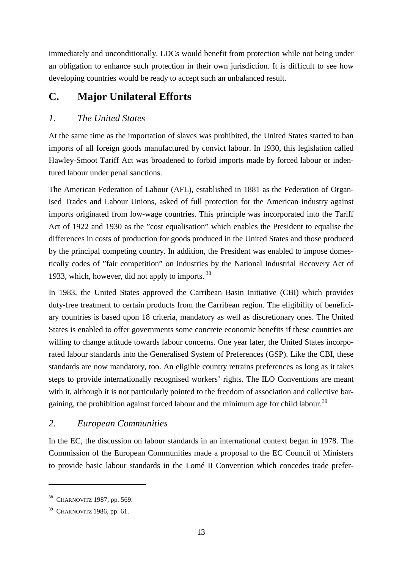immediately and unconditionally. LDCs would benefit from protection while not being under an obligation to enhance such protection in their own jurisdiction. It is difficult to see how developing countries would be ready to accept such an unbalanced result.

## **C. Major Unilateral Efforts**

## *1. The United States*

At the same time as the importation of slaves was prohibited, the United States started to ban imports of all foreign goods manufactured by convict labour. In 1930, this legislation called Hawley-Smoot Tariff Act was broadened to forbid imports made by forced labour or indentured labour under penal sanctions.

The American Federation of Labour (AFL), established in 1881 as the Federation of Organised Trades and Labour Unions, asked of full protection for the American industry against imports originated from low-wage countries. This principle was incorporated into the Tariff Act of 1922 and 1930 as the "cost equalisation" which enables the President to equalise the differences in costs of production for goods produced in the United States and those produced by the principal competing country. In addition, the President was enabled to impose domestically codes of "fair competition" on industries by the National Industrial Recovery Act of 1933, which, however, did not apply to imports.<sup>38</sup>

In 1983, the United States approved the Carribean Basin Initiative (CBI) which provides duty-free treatment to certain products from the Carribean region. The eligibility of beneficiary countries is based upon 18 criteria, mandatory as well as discretionary ones. The United States is enabled to offer governments some concrete economic benefits if these countries are willing to change attitude towards labour concerns. One year later, the United States incorporated labour standards into the Generalised System of Preferences (GSP). Like the CBI, these standards are now mandatory, too. An eligible country retrains preferences as long as it takes steps to provide internationally recognised workers' rights. The ILO Conventions are meant with it, although it is not particularly pointed to the freedom of association and collective bargaining, the prohibition against forced labour and the minimum age for child labour.<sup>39</sup>

## *2. European Communities*

In the EC, the discussion on labour standards in an international context began in 1978. The Commission of the European Communities made a proposal to the EC Council of Ministers to provide basic labour standards in the Lomé II Convention which concedes trade prefer-

<sup>38</sup> CHARNOVITZ 1987, pp. 569.

 $39$  CHARNOVITZ 1986, pp. 61.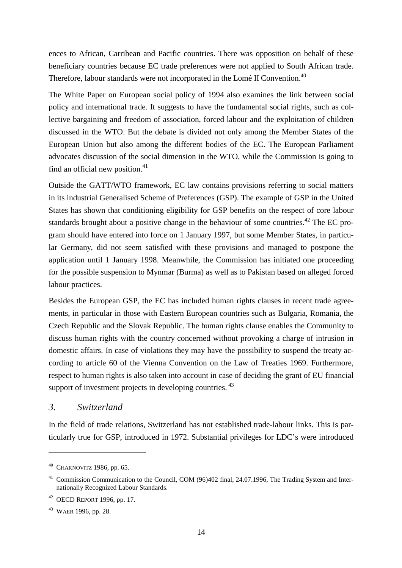ences to African, Carribean and Pacific countries. There was opposition on behalf of these beneficiary countries because EC trade preferences were not applied to South African trade. Therefore, labour standards were not incorporated in the Lomé II Convention.<sup>40</sup>

The White Paper on European social policy of 1994 also examines the link between social policy and international trade. It suggests to have the fundamental social rights, such as collective bargaining and freedom of association, forced labour and the exploitation of children discussed in the WTO. But the debate is divided not only among the Member States of the European Union but also among the different bodies of the EC. The European Parliament advocates discussion of the social dimension in the WTO, while the Commission is going to find an official new position.<sup>41</sup>

Outside the GATT/WTO framework, EC law contains provisions referring to social matters in its industrial Generalised Scheme of Preferences (GSP). The example of GSP in the United States has shown that conditioning eligibility for GSP benefits on the respect of core labour standards brought about a positive change in the behaviour of some countries.<sup>42</sup> The EC program should have entered into force on 1 January 1997, but some Member States, in particular Germany, did not seem satisfied with these provisions and managed to postpone the application until 1 January 1998. Meanwhile, the Commission has initiated one proceeding for the possible suspension to Mynmar (Burma) as well as to Pakistan based on alleged forced labour practices.

Besides the European GSP, the EC has included human rights clauses in recent trade agreements, in particular in those with Eastern European countries such as Bulgaria, Romania, the Czech Republic and the Slovak Republic. The human rights clause enables the Community to discuss human rights with the country concerned without provoking a charge of intrusion in domestic affairs. In case of violations they may have the possibility to suspend the treaty according to article 60 of the Vienna Convention on the Law of Treaties 1969. Furthermore, respect to human rights is also taken into account in case of deciding the grant of EU financial support of investment projects in developing countries. <sup>43</sup>

#### *3. Switzerland*

In the field of trade relations, Switzerland has not established trade-labour links. This is particularly true for GSP, introduced in 1972. Substantial privileges for LDC's were introduced

 $40$  CHARNOVITZ 1986, pp. 65.

<sup>&</sup>lt;sup>41</sup> Commission Communication to the Council, COM (96)402 final, 24.07.1996, The Trading System and Internationally Recognized Labour Standards.

<sup>42</sup> OECD REPORT 1996, pp. 17.

<sup>43</sup> WAER 1996, pp. 28.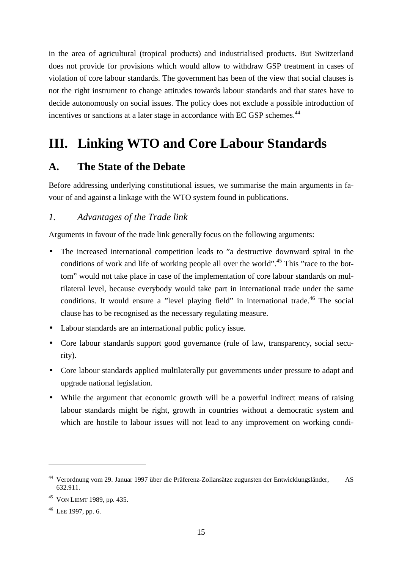in the area of agricultural (tropical products) and industrialised products. But Switzerland does not provide for provisions which would allow to withdraw GSP treatment in cases of violation of core labour standards. The government has been of the view that social clauses is not the right instrument to change attitudes towards labour standards and that states have to decide autonomously on social issues. The policy does not exclude a possible introduction of incentives or sanctions at a later stage in accordance with EC GSP schemes.<sup>44</sup>

# **III. Linking WTO and Core Labour Standards**

## **A. The State of the Debate**

Before addressing underlying constitutional issues, we summarise the main arguments in favour of and against a linkage with the WTO system found in publications.

### *1. Advantages of the Trade link*

Arguments in favour of the trade link generally focus on the following arguments:

- The increased international competition leads to "a destructive downward spiral in the conditions of work and life of working people all over the world".<sup>45</sup> This "race to the bottom" would not take place in case of the implementation of core labour standards on multilateral level, because everybody would take part in international trade under the same conditions. It would ensure a "level playing field" in international trade.<sup>46</sup> The social clause has to be recognised as the necessary regulating measure.
- Labour standards are an international public policy issue.
- Core labour standards support good governance (rule of law, transparency, social security).
- Core labour standards applied multilaterally put governments under pressure to adapt and upgrade national legislation.
- While the argument that economic growth will be a powerful indirect means of raising labour standards might be right, growth in countries without a democratic system and which are hostile to labour issues will not lead to any improvement on working condi-

<sup>44</sup> Verordnung vom 29. Januar 1997 über die Präferenz-Zollansätze zugunsten der Entwicklungsländer, AS 632.911.

<sup>45</sup> VON LIEMT 1989, pp. 435.

 $46$  LEE 1997, pp. 6.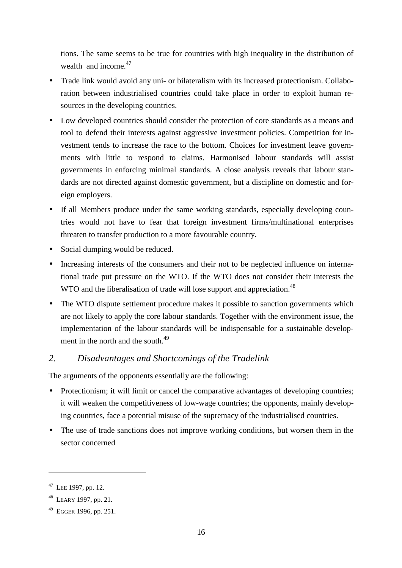tions. The same seems to be true for countries with high inequality in the distribution of wealth and income.<sup>47</sup>

- Trade link would avoid any uni- or bilateralism with its increased protectionism. Collaboration between industrialised countries could take place in order to exploit human resources in the developing countries.
- Low developed countries should consider the protection of core standards as a means and tool to defend their interests against aggressive investment policies. Competition for investment tends to increase the race to the bottom. Choices for investment leave governments with little to respond to claims. Harmonised labour standards will assist governments in enforcing minimal standards. A close analysis reveals that labour standards are not directed against domestic government, but a discipline on domestic and foreign employers.
- If all Members produce under the same working standards, especially developing countries would not have to fear that foreign investment firms/multinational enterprises threaten to transfer production to a more favourable country.
- Social dumping would be reduced.
- Increasing interests of the consumers and their not to be neglected influence on international trade put pressure on the WTO. If the WTO does not consider their interests the WTO and the liberalisation of trade will lose support and appreciation.<sup>48</sup>
- The WTO dispute settlement procedure makes it possible to sanction governments which are not likely to apply the core labour standards. Together with the environment issue, the implementation of the labour standards will be indispensable for a sustainable development in the north and the south.<sup>49</sup>

#### *2. Disadvantages and Shortcomings of the Tradelink*

The arguments of the opponents essentially are the following:

- Protectionism; it will limit or cancel the comparative advantages of developing countries; it will weaken the competitiveness of low-wage countries; the opponents, mainly developing countries, face a potential misuse of the supremacy of the industrialised countries.
- The use of trade sanctions does not improve working conditions, but worsen them in the sector concerned

<sup>&</sup>lt;sup>47</sup> LEE 1997, pp. 12.

<sup>48</sup> LEARY 1997, pp. 21.

<sup>49</sup> EGGER 1996, pp. 251.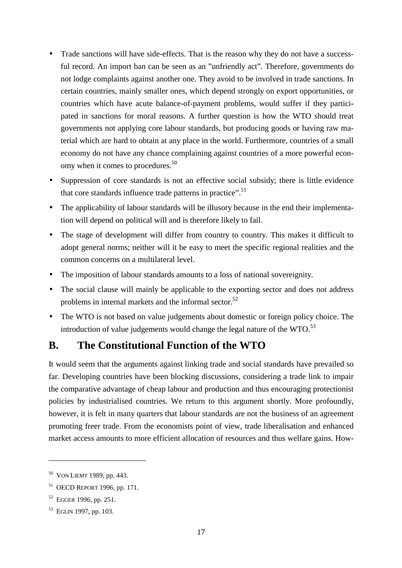- Trade sanctions will have side-effects. That is the reason why they do not have a successful record. An import ban can be seen as an "unfriendly act". Therefore, governments do not lodge complaints against another one. They avoid to be involved in trade sanctions. In certain countries, mainly smaller ones, which depend strongly on export opportunities, or countries which have acute balance-of-payment problems, would suffer if they participated in sanctions for moral reasons. A further question is how the WTO should treat governments not applying core labour standards, but producing goods or having raw material which are hard to obtain at any place in the world. Furthermore, countries of a small economy do not have any chance complaining against countries of a more powerful economy when it comes to procedures.<sup>50</sup>
- Suppression of core standards is not an effective social subsidy; there is little evidence that core standards influence trade patterns in practice".<sup>51</sup>
- The applicability of labour standards will be illusory because in the end their implementation will depend on political will and is therefore likely to fail.
- The stage of development will differ from country to country. This makes it difficult to adopt general norms; neither will it be easy to meet the specific regional realities and the common concerns on a multilateral level.
- The imposition of labour standards amounts to a loss of national sovereignity.
- The social clause will mainly be applicable to the exporting sector and does not address problems in internal markets and the informal sector.<sup>52</sup>
- The WTO is not based on value judgements about domestic or foreign policy choice. The introduction of value judgements would change the legal nature of the  $WTO$ <sup>53</sup>

## **B. The Constitutional Function of the WTO**

It would seem that the arguments against linking trade and social standards have prevailed so far. Developing countries have been blocking discussions, considering a trade link to impair the comparative advantage of cheap labour and production and thus encouraging protectionist policies by industrialised countries. We return to this argument shortly. More profoundly, however, it is felt in many quarters that labour standards are not the business of an agreement promoting freer trade. From the economists point of view, trade liberalisation and enhanced market access amounts to more efficient allocation of resources and thus welfare gains. How-

<sup>50</sup> VON LIEMT 1989, pp. 443.

<sup>51</sup> OECD REPORT 1996, pp. 171.

<sup>52</sup> EGGER 1996, pp. 251.

<sup>53</sup> EGLIN 1997, pp. 103.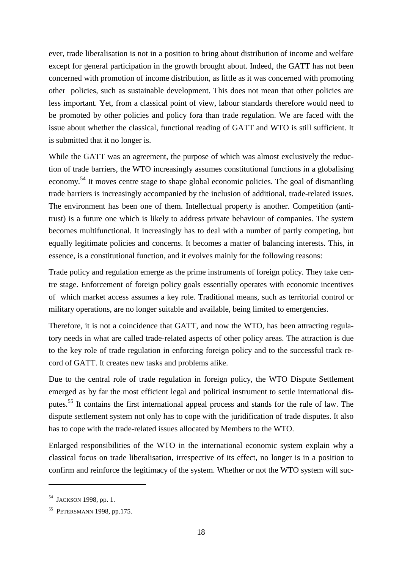ever, trade liberalisation is not in a position to bring about distribution of income and welfare except for general participation in the growth brought about. Indeed, the GATT has not been concerned with promotion of income distribution, as little as it was concerned with promoting other policies, such as sustainable development. This does not mean that other policies are less important. Yet, from a classical point of view, labour standards therefore would need to be promoted by other policies and policy fora than trade regulation. We are faced with the issue about whether the classical, functional reading of GATT and WTO is still sufficient. It is submitted that it no longer is.

While the GATT was an agreement, the purpose of which was almost exclusively the reduction of trade barriers, the WTO increasingly assumes constitutional functions in a globalising economy.54 It moves centre stage to shape global economic policies. The goal of dismantling trade barriers is increasingly accompanied by the inclusion of additional, trade-related issues. The environment has been one of them. Intellectual property is another. Competition (antitrust) is a future one which is likely to address private behaviour of companies. The system becomes multifunctional. It increasingly has to deal with a number of partly competing, but equally legitimate policies and concerns. It becomes a matter of balancing interests. This, in essence, is a constitutional function, and it evolves mainly for the following reasons:

Trade policy and regulation emerge as the prime instruments of foreign policy. They take centre stage. Enforcement of foreign policy goals essentially operates with economic incentives of which market access assumes a key role. Traditional means, such as territorial control or military operations, are no longer suitable and available, being limited to emergencies.

Therefore, it is not a coincidence that GATT, and now the WTO, has been attracting regulatory needs in what are called trade-related aspects of other policy areas. The attraction is due to the key role of trade regulation in enforcing foreign policy and to the successful track record of GATT. It creates new tasks and problems alike.

Due to the central role of trade regulation in foreign policy, the WTO Dispute Settlement emerged as by far the most efficient legal and political instrument to settle international disputes.55 It contains the first international appeal process and stands for the rule of law. The dispute settlement system not only has to cope with the juridification of trade disputes. It also has to cope with the trade-related issues allocated by Members to the WTO.

Enlarged responsibilities of the WTO in the international economic system explain why a classical focus on trade liberalisation, irrespective of its effect, no longer is in a position to confirm and reinforce the legitimacy of the system. Whether or not the WTO system will suc-

<sup>&</sup>lt;sup>54</sup> JACKSON 1998, pp. 1.

<sup>55</sup> PETERSMANN 1998, pp.175.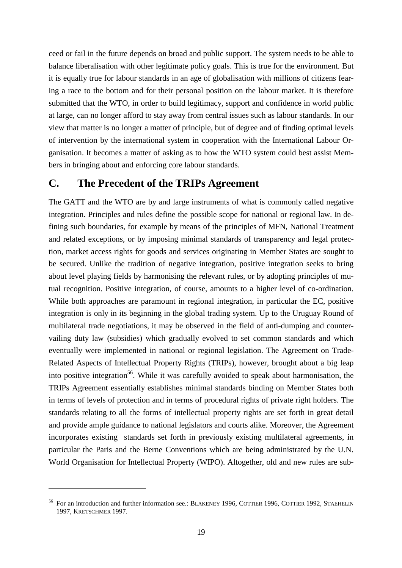ceed or fail in the future depends on broad and public support. The system needs to be able to balance liberalisation with other legitimate policy goals. This is true for the environment. But it is equally true for labour standards in an age of globalisation with millions of citizens fearing a race to the bottom and for their personal position on the labour market. It is therefore submitted that the WTO, in order to build legitimacy, support and confidence in world public at large, can no longer afford to stay away from central issues such as labour standards. In our view that matter is no longer a matter of principle, but of degree and of finding optimal levels of intervention by the international system in cooperation with the International Labour Organisation. It becomes a matter of asking as to how the WTO system could best assist Members in bringing about and enforcing core labour standards.

### **C. The Precedent of the TRIPs Agreement**

The GATT and the WTO are by and large instruments of what is commonly called negative integration. Principles and rules define the possible scope for national or regional law. In defining such boundaries, for example by means of the principles of MFN, National Treatment and related exceptions, or by imposing minimal standards of transparency and legal protection, market access rights for goods and services originating in Member States are sought to be secured. Unlike the tradition of negative integration, positive integration seeks to bring about level playing fields by harmonising the relevant rules, or by adopting principles of mutual recognition. Positive integration, of course, amounts to a higher level of co-ordination. While both approaches are paramount in regional integration, in particular the EC, positive integration is only in its beginning in the global trading system. Up to the Uruguay Round of multilateral trade negotiations, it may be observed in the field of anti-dumping and countervailing duty law (subsidies) which gradually evolved to set common standards and which eventually were implemented in national or regional legislation. The Agreement on Trade-Related Aspects of Intellectual Property Rights (TRIPs), however, brought about a big leap into positive integration<sup>56</sup>. While it was carefully avoided to speak about harmonisation, the TRIPs Agreement essentially establishes minimal standards binding on Member States both in terms of levels of protection and in terms of procedural rights of private right holders. The standards relating to all the forms of intellectual property rights are set forth in great detail and provide ample guidance to national legislators and courts alike. Moreover, the Agreement incorporates existing standards set forth in previously existing multilateral agreements, in particular the Paris and the Berne Conventions which are being administrated by the U.N. World Organisation for Intellectual Property (WIPO). Altogether, old and new rules are sub-

<sup>&</sup>lt;sup>56</sup> For an introduction and further information see.: BLAKENEY 1996, COTTIER 1996, COTTIER 1992, STAEHELIN 1997, KRETSCHMER 1997.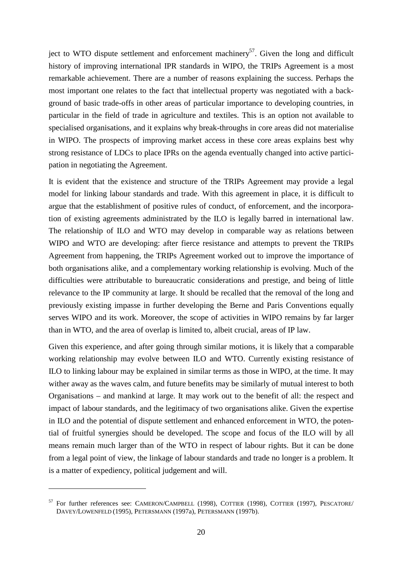ject to WTO dispute settlement and enforcement machinery<sup>57</sup>. Given the long and difficult history of improving international IPR standards in WIPO, the TRIPs Agreement is a most remarkable achievement. There are a number of reasons explaining the success. Perhaps the most important one relates to the fact that intellectual property was negotiated with a background of basic trade-offs in other areas of particular importance to developing countries, in particular in the field of trade in agriculture and textiles. This is an option not available to specialised organisations, and it explains why break-throughs in core areas did not materialise in WIPO. The prospects of improving market access in these core areas explains best why strong resistance of LDCs to place IPRs on the agenda eventually changed into active participation in negotiating the Agreement.

It is evident that the existence and structure of the TRIPs Agreement may provide a legal model for linking labour standards and trade. With this agreement in place, it is difficult to argue that the establishment of positive rules of conduct, of enforcement, and the incorporation of existing agreements administrated by the ILO is legally barred in international law. The relationship of ILO and WTO may develop in comparable way as relations between WIPO and WTO are developing: after fierce resistance and attempts to prevent the TRIPs Agreement from happening, the TRIPs Agreement worked out to improve the importance of both organisations alike, and a complementary working relationship is evolving. Much of the difficulties were attributable to bureaucratic considerations and prestige, and being of little relevance to the IP community at large. It should be recalled that the removal of the long and previously existing impasse in further developing the Berne and Paris Conventions equally serves WIPO and its work. Moreover, the scope of activities in WIPO remains by far larger than in WTO, and the area of overlap is limited to, albeit crucial, areas of IP law.

Given this experience, and after going through similar motions, it is likely that a comparable working relationship may evolve between ILO and WTO. Currently existing resistance of ILO to linking labour may be explained in similar terms as those in WIPO, at the time. It may wither away as the waves calm, and future benefits may be similarly of mutual interest to both Organisations – and mankind at large. It may work out to the benefit of all: the respect and impact of labour standards, and the legitimacy of two organisations alike. Given the expertise in ILO and the potential of dispute settlement and enhanced enforcement in WTO, the potential of fruitful synergies should be developed. The scope and focus of the ILO will by all means remain much larger than of the WTO in respect of labour rights. But it can be done from a legal point of view, the linkage of labour standards and trade no longer is a problem. It is a matter of expediency, political judgement and will.

<sup>57</sup> For further references see: CAMERON/CAMPBELL (1998), COTTIER (1998), COTTIER (1997), PESCATORE/ DAVEY/LOWENFELD (1995), PETERSMANN (1997a), PETERSMANN (1997b).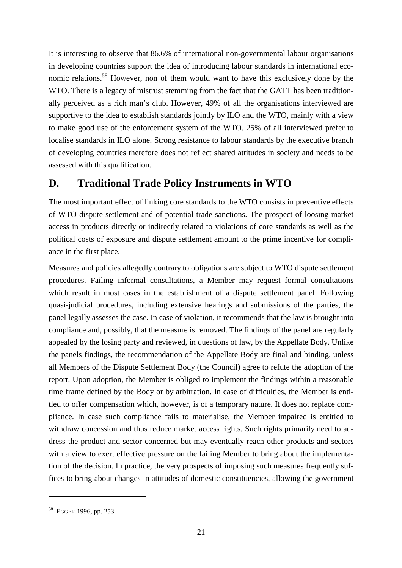It is interesting to observe that 86.6% of international non-governmental labour organisations in developing countries support the idea of introducing labour standards in international economic relations.58 However, non of them would want to have this exclusively done by the WTO. There is a legacy of mistrust stemming from the fact that the GATT has been traditionally perceived as a rich man's club. However, 49% of all the organisations interviewed are supportive to the idea to establish standards jointly by ILO and the WTO, mainly with a view to make good use of the enforcement system of the WTO. 25% of all interviewed prefer to localise standards in ILO alone. Strong resistance to labour standards by the executive branch of developing countries therefore does not reflect shared attitudes in society and needs to be assessed with this qualification.

### **D. Traditional Trade Policy Instruments in WTO**

The most important effect of linking core standards to the WTO consists in preventive effects of WTO dispute settlement and of potential trade sanctions. The prospect of loosing market access in products directly or indirectly related to violations of core standards as well as the political costs of exposure and dispute settlement amount to the prime incentive for compliance in the first place.

Measures and policies allegedly contrary to obligations are subject to WTO dispute settlement procedures. Failing informal consultations, a Member may request formal consultations which result in most cases in the establishment of a dispute settlement panel. Following quasi-judicial procedures, including extensive hearings and submissions of the parties, the panel legally assesses the case. In case of violation, it recommends that the law is brought into compliance and, possibly, that the measure is removed. The findings of the panel are regularly appealed by the losing party and reviewed, in questions of law, by the Appellate Body. Unlike the panels findings, the recommendation of the Appellate Body are final and binding, unless all Members of the Dispute Settlement Body (the Council) agree to refute the adoption of the report. Upon adoption, the Member is obliged to implement the findings within a reasonable time frame defined by the Body or by arbitration. In case of difficulties, the Member is entitled to offer compensation which, however, is of a temporary nature. It does not replace compliance. In case such compliance fails to materialise, the Member impaired is entitled to withdraw concession and thus reduce market access rights. Such rights primarily need to address the product and sector concerned but may eventually reach other products and sectors with a view to exert effective pressure on the failing Member to bring about the implementation of the decision. In practice, the very prospects of imposing such measures frequently suffices to bring about changes in attitudes of domestic constituencies, allowing the government

<sup>58</sup> EGGER 1996, pp. 253.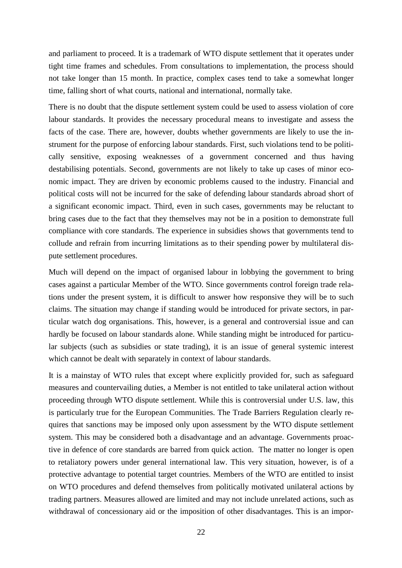and parliament to proceed. It is a trademark of WTO dispute settlement that it operates under tight time frames and schedules. From consultations to implementation, the process should not take longer than 15 month. In practice, complex cases tend to take a somewhat longer time, falling short of what courts, national and international, normally take.

There is no doubt that the dispute settlement system could be used to assess violation of core labour standards. It provides the necessary procedural means to investigate and assess the facts of the case. There are, however, doubts whether governments are likely to use the instrument for the purpose of enforcing labour standards. First, such violations tend to be politically sensitive, exposing weaknesses of a government concerned and thus having destabilising potentials. Second, governments are not likely to take up cases of minor economic impact. They are driven by economic problems caused to the industry. Financial and political costs will not be incurred for the sake of defending labour standards abroad short of a significant economic impact. Third, even in such cases, governments may be reluctant to bring cases due to the fact that they themselves may not be in a position to demonstrate full compliance with core standards. The experience in subsidies shows that governments tend to collude and refrain from incurring limitations as to their spending power by multilateral dispute settlement procedures.

Much will depend on the impact of organised labour in lobbying the government to bring cases against a particular Member of the WTO. Since governments control foreign trade relations under the present system, it is difficult to answer how responsive they will be to such claims. The situation may change if standing would be introduced for private sectors, in particular watch dog organisations. This, however, is a general and controversial issue and can hardly be focused on labour standards alone. While standing might be introduced for particular subjects (such as subsidies or state trading), it is an issue of general systemic interest which cannot be dealt with separately in context of labour standards.

It is a mainstay of WTO rules that except where explicitly provided for, such as safeguard measures and countervailing duties, a Member is not entitled to take unilateral action without proceeding through WTO dispute settlement. While this is controversial under U.S. law, this is particularly true for the European Communities. The Trade Barriers Regulation clearly requires that sanctions may be imposed only upon assessment by the WTO dispute settlement system. This may be considered both a disadvantage and an advantage. Governments proactive in defence of core standards are barred from quick action. The matter no longer is open to retaliatory powers under general international law. This very situation, however, is of a protective advantage to potential target countries. Members of the WTO are entitled to insist on WTO procedures and defend themselves from politically motivated unilateral actions by trading partners. Measures allowed are limited and may not include unrelated actions, such as withdrawal of concessionary aid or the imposition of other disadvantages. This is an impor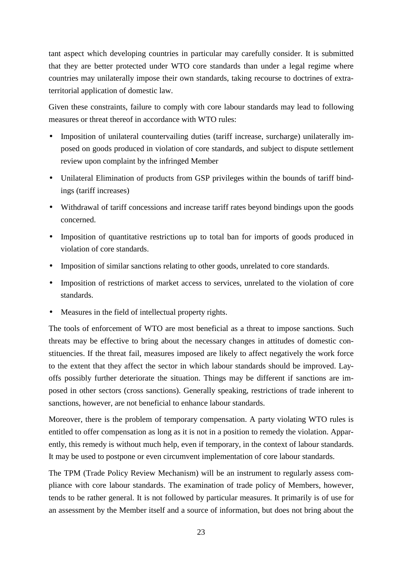tant aspect which developing countries in particular may carefully consider. It is submitted that they are better protected under WTO core standards than under a legal regime where countries may unilaterally impose their own standards, taking recourse to doctrines of extraterritorial application of domestic law.

Given these constraints, failure to comply with core labour standards may lead to following measures or threat thereof in accordance with WTO rules:

- Imposition of unilateral countervailing duties (tariff increase, surcharge) unilaterally imposed on goods produced in violation of core standards, and subject to dispute settlement review upon complaint by the infringed Member
- Unilateral Elimination of products from GSP privileges within the bounds of tariff bindings (tariff increases)
- Withdrawal of tariff concessions and increase tariff rates beyond bindings upon the goods concerned.
- Imposition of quantitative restrictions up to total ban for imports of goods produced in violation of core standards.
- Imposition of similar sanctions relating to other goods, unrelated to core standards.
- Imposition of restrictions of market access to services, unrelated to the violation of core standards.
- Measures in the field of intellectual property rights.

The tools of enforcement of WTO are most beneficial as a threat to impose sanctions. Such threats may be effective to bring about the necessary changes in attitudes of domestic constituencies. If the threat fail, measures imposed are likely to affect negatively the work force to the extent that they affect the sector in which labour standards should be improved. Layoffs possibly further deteriorate the situation. Things may be different if sanctions are imposed in other sectors (cross sanctions). Generally speaking, restrictions of trade inherent to sanctions, however, are not beneficial to enhance labour standards.

Moreover, there is the problem of temporary compensation. A party violating WTO rules is entitled to offer compensation as long as it is not in a position to remedy the violation. Apparently, this remedy is without much help, even if temporary, in the context of labour standards. It may be used to postpone or even circumvent implementation of core labour standards.

The TPM (Trade Policy Review Mechanism) will be an instrument to regularly assess compliance with core labour standards. The examination of trade policy of Members, however, tends to be rather general. It is not followed by particular measures. It primarily is of use for an assessment by the Member itself and a source of information, but does not bring about the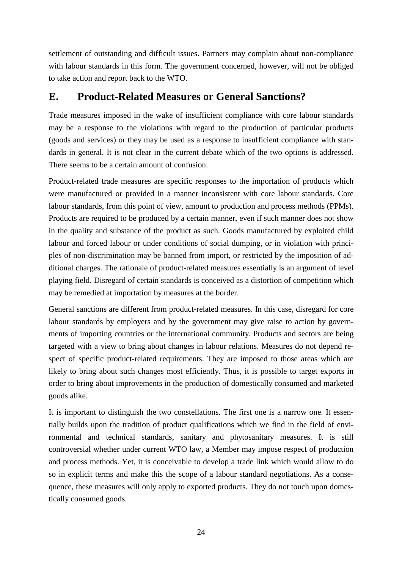settlement of outstanding and difficult issues. Partners may complain about non-compliance with labour standards in this form. The government concerned, however, will not be obliged to take action and report back to the WTO.

## **E. Product-Related Measures or General Sanctions?**

Trade measures imposed in the wake of insufficient compliance with core labour standards may be a response to the violations with regard to the production of particular products (goods and services) or they may be used as a response to insufficient compliance with standards in general. It is not clear in the current debate which of the two options is addressed. There seems to be a certain amount of confusion.

Product-related trade measures are specific responses to the importation of products which were manufactured or provided in a manner inconsistent with core labour standards. Core labour standards, from this point of view, amount to production and process methods (PPMs). Products are required to be produced by a certain manner, even if such manner does not show in the quality and substance of the product as such. Goods manufactured by exploited child labour and forced labour or under conditions of social dumping, or in violation with principles of non-discrimination may be banned from import, or restricted by the imposition of additional charges. The rationale of product-related measures essentially is an argument of level playing field. Disregard of certain standards is conceived as a distortion of competition which may be remedied at importation by measures at the border.

General sanctions are different from product-related measures. In this case, disregard for core labour standards by employers and by the government may give raise to action by governments of importing countries or the international community. Products and sectors are being targeted with a view to bring about changes in labour relations. Measures do not depend respect of specific product-related requirements. They are imposed to those areas which are likely to bring about such changes most efficiently. Thus, it is possible to target exports in order to bring about improvements in the production of domestically consumed and marketed goods alike.

It is important to distinguish the two constellations. The first one is a narrow one. It essentially builds upon the tradition of product qualifications which we find in the field of environmental and technical standards, sanitary and phytosanitary measures. It is still controversial whether under current WTO law, a Member may impose respect of production and process methods. Yet, it is conceivable to develop a trade link which would allow to do so in explicit terms and make this the scope of a labour standard negotiations. As a consequence, these measures will only apply to exported products. They do not touch upon domestically consumed goods.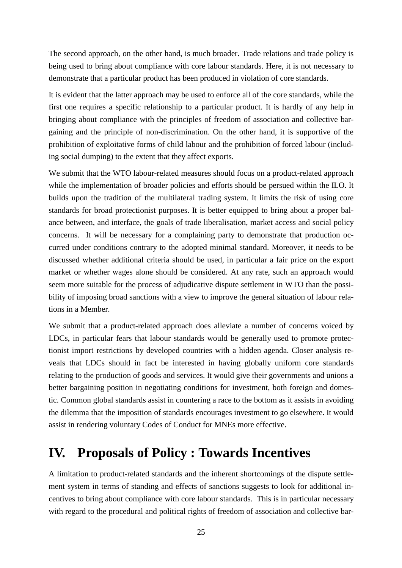The second approach, on the other hand, is much broader. Trade relations and trade policy is being used to bring about compliance with core labour standards. Here, it is not necessary to demonstrate that a particular product has been produced in violation of core standards.

It is evident that the latter approach may be used to enforce all of the core standards, while the first one requires a specific relationship to a particular product. It is hardly of any help in bringing about compliance with the principles of freedom of association and collective bargaining and the principle of non-discrimination. On the other hand, it is supportive of the prohibition of exploitative forms of child labour and the prohibition of forced labour (including social dumping) to the extent that they affect exports.

We submit that the WTO labour-related measures should focus on a product-related approach while the implementation of broader policies and efforts should be persued within the ILO. It builds upon the tradition of the multilateral trading system. It limits the risk of using core standards for broad protectionist purposes. It is better equipped to bring about a proper balance between, and interface, the goals of trade liberalisation, market access and social policy concerns. It will be necessary for a complaining party to demonstrate that production occurred under conditions contrary to the adopted minimal standard. Moreover, it needs to be discussed whether additional criteria should be used, in particular a fair price on the export market or whether wages alone should be considered. At any rate, such an approach would seem more suitable for the process of adjudicative dispute settlement in WTO than the possibility of imposing broad sanctions with a view to improve the general situation of labour relations in a Member.

We submit that a product-related approach does alleviate a number of concerns voiced by LDCs, in particular fears that labour standards would be generally used to promote protectionist import restrictions by developed countries with a hidden agenda. Closer analysis reveals that LDCs should in fact be interested in having globally uniform core standards relating to the production of goods and services. It would give their governments and unions a better bargaining position in negotiating conditions for investment, both foreign and domestic. Common global standards assist in countering a race to the bottom as it assists in avoiding the dilemma that the imposition of standards encourages investment to go elsewhere. It would assist in rendering voluntary Codes of Conduct for MNEs more effective.

## **IV. Proposals of Policy : Towards Incentives**

A limitation to product-related standards and the inherent shortcomings of the dispute settlement system in terms of standing and effects of sanctions suggests to look for additional incentives to bring about compliance with core labour standards. This is in particular necessary with regard to the procedural and political rights of freedom of association and collective bar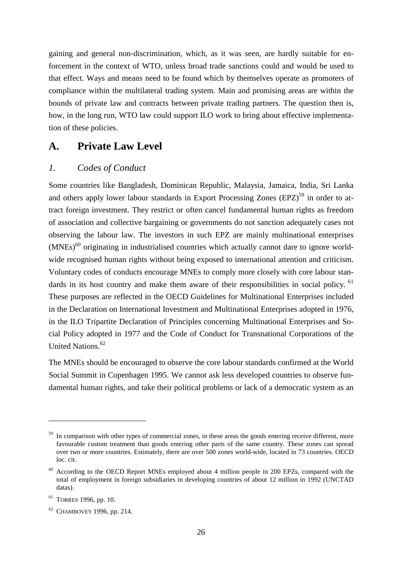gaining and general non-discrimination, which, as it was seen, are hardly suitable for enforcement in the context of WTO, unless broad trade sanctions could and would be used to that effect. Ways and means need to be found which by themselves operate as promoters of compliance within the multilateral trading system. Main and promising areas are within the bounds of private law and contracts between private trading partners. The question then is, how, in the long run, WTO law could support ILO work to bring about effective implementation of these policies.

### **A. Private Law Level**

#### *1. Codes of Conduct*

Some countries like Bangladesh, Dominican Republic, Malaysia, Jamaica, India, Sri Lanka and others apply lower labour standards in Export Processing Zones (EPZ)<sup>59</sup> in order to attract foreign investment. They restrict or often cancel fundamental human rights as freedom of association and collective bargaining or governments do not sanction adequately cases not observing the labour law. The investors in such EPZ are mainly multinational enterprises  $(MNEs)^{60}$  originating in industrialised countries which actually cannot dare to ignore worldwide recognised human rights without being exposed to international attention and criticism. Voluntary codes of conducts encourage MNEs to comply more closely with core labour standards in its host country and make them aware of their responsibilities in social policy. <sup>61</sup> These purposes are reflected in the OECD Guidelines for Multinational Enterprises included in the Declaration on International Investment and Multinational Enterprises adopted in 1976, in the ILO Tripartite Declaration of Principles concerning Multinational Enterprises and Social Policy adopted in 1977 and the Code of Conduct for Transnational Corporations of the United Nations.<sup>62</sup>

The MNEs should be encouraged to observe the core labour standards confirmed at the World Social Summit in Copenhagen 1995. We cannot ask less developed countries to observe fundamental human rights, and take their political problems or lack of a democratic system as an

 $59$  In comparison with other types of commercial zones, in these areas the goods entering receive different, more favourable custom treatment than goods entering other parts of the same country. These zones can spread over two or more countries. Estimately, there are over 500 zones world-wide, located in 73 countries. OECD loc. cit.

<sup>&</sup>lt;sup>60</sup> According to the OECD Report MNEs employed about 4 million people in 200 EPZs, compared with the total of employment in foreign subsidiaries in developing countries of about 12 million in 1992 (UNCTAD datas).

 $61$  TORRES 1996, pp. 10.

<sup>62</sup> CHAMBOVEY 1996, pp. 214.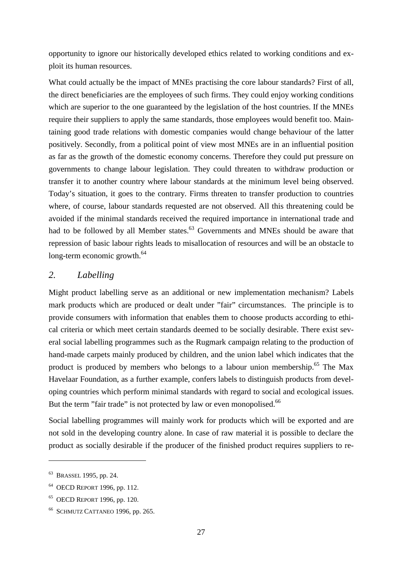opportunity to ignore our historically developed ethics related to working conditions and exploit its human resources.

What could actually be the impact of MNEs practising the core labour standards? First of all, the direct beneficiaries are the employees of such firms. They could enjoy working conditions which are superior to the one guaranteed by the legislation of the host countries. If the MNEs require their suppliers to apply the same standards, those employees would benefit too. Maintaining good trade relations with domestic companies would change behaviour of the latter positively. Secondly, from a political point of view most MNEs are in an influential position as far as the growth of the domestic economy concerns. Therefore they could put pressure on governments to change labour legislation. They could threaten to withdraw production or transfer it to another country where labour standards at the minimum level being observed. Today's situation, it goes to the contrary. Firms threaten to transfer production to countries where, of course, labour standards requested are not observed. All this threatening could be avoided if the minimal standards received the required importance in international trade and had to be followed by all Member states.<sup>63</sup> Governments and MNEs should be aware that repression of basic labour rights leads to misallocation of resources and will be an obstacle to long-term economic growth. $^{64}$ 

#### *2. Labelling*

Might product labelling serve as an additional or new implementation mechanism? Labels mark products which are produced or dealt under "fair" circumstances. The principle is to provide consumers with information that enables them to choose products according to ethical criteria or which meet certain standards deemed to be socially desirable. There exist several social labelling programmes such as the Rugmark campaign relating to the production of hand-made carpets mainly produced by children, and the union label which indicates that the product is produced by members who belongs to a labour union membership.<sup>65</sup> The Max Havelaar Foundation, as a further example, confers labels to distinguish products from developing countries which perform minimal standards with regard to social and ecological issues. But the term "fair trade" is not protected by law or even monopolised.<sup>66</sup>

Social labelling programmes will mainly work for products which will be exported and are not sold in the developing country alone. In case of raw material it is possible to declare the product as socially desirable if the producer of the finished product requires suppliers to re-

<sup>63</sup> BRASSEL 1995, pp. 24.

<sup>64</sup> OECD REPORT 1996, pp. 112.

<sup>65</sup> OECD REPORT 1996, pp. 120.

<sup>66</sup> SCHMUTZ CATTANEO 1996, pp. 265.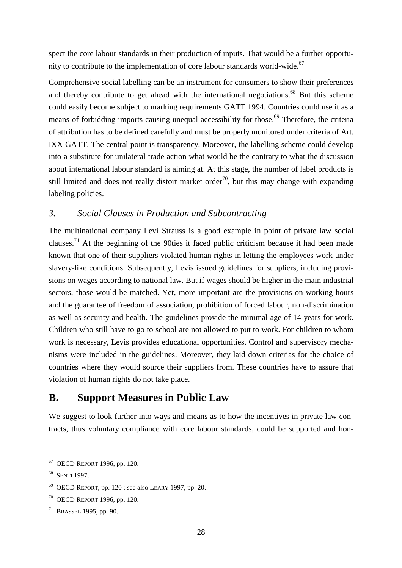spect the core labour standards in their production of inputs. That would be a further opportunity to contribute to the implementation of core labour standards world-wide. $67$ 

Comprehensive social labelling can be an instrument for consumers to show their preferences and thereby contribute to get ahead with the international negotiations.<sup>68</sup> But this scheme could easily become subject to marking requirements GATT 1994. Countries could use it as a means of forbidding imports causing unequal accessibility for those.<sup>69</sup> Therefore, the criteria of attribution has to be defined carefully and must be properly monitored under criteria of Art. IXX GATT. The central point is transparency. Moreover, the labelling scheme could develop into a substitute for unilateral trade action what would be the contrary to what the discussion about international labour standard is aiming at. At this stage, the number of label products is still limited and does not really distort market order<sup>70</sup>, but this may change with expanding labeling policies.

#### *3. Social Clauses in Production and Subcontracting*

The multinational company Levi Strauss is a good example in point of private law social clauses.<sup>71</sup> At the beginning of the 90ties it faced public criticism because it had been made known that one of their suppliers violated human rights in letting the employees work under slavery-like conditions. Subsequently, Levis issued guidelines for suppliers, including provisions on wages according to national law. But if wages should be higher in the main industrial sectors, those would be matched. Yet, more important are the provisions on working hours and the guarantee of freedom of association, prohibition of forced labour, non-discrimination as well as security and health. The guidelines provide the minimal age of 14 years for work. Children who still have to go to school are not allowed to put to work. For children to whom work is necessary, Levis provides educational opportunities. Control and supervisory mechanisms were included in the guidelines. Moreover, they laid down criterias for the choice of countries where they would source their suppliers from. These countries have to assure that violation of human rights do not take place.

### **B. Support Measures in Public Law**

We suggest to look further into ways and means as to how the incentives in private law contracts, thus voluntary compliance with core labour standards, could be supported and hon-

<sup>67</sup> OECD REPORT 1996, pp. 120.

<sup>&</sup>lt;sup>68</sup> SENTI 1997.

 $69$  OECD REPORT, pp. 120; see also LEARY 1997, pp. 20.

<sup>70</sup> OECD REPORT 1996, pp. 120.

<sup>71</sup> BRASSEL 1995, pp. 90.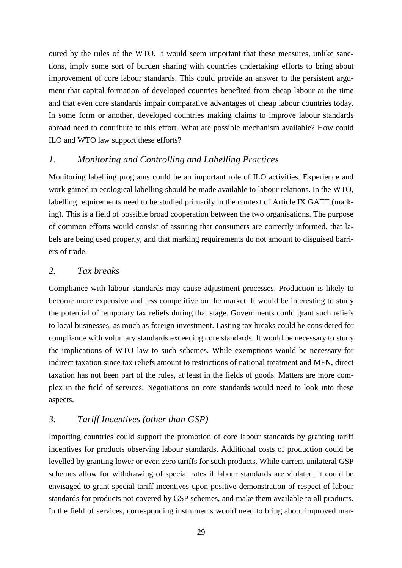oured by the rules of the WTO. It would seem important that these measures, unlike sanctions, imply some sort of burden sharing with countries undertaking efforts to bring about improvement of core labour standards. This could provide an answer to the persistent argument that capital formation of developed countries benefited from cheap labour at the time and that even core standards impair comparative advantages of cheap labour countries today. In some form or another, developed countries making claims to improve labour standards abroad need to contribute to this effort. What are possible mechanism available? How could ILO and WTO law support these efforts?

#### *1. Monitoring and Controlling and Labelling Practices*

Monitoring labelling programs could be an important role of ILO activities. Experience and work gained in ecological labelling should be made available to labour relations. In the WTO, labelling requirements need to be studied primarily in the context of Article IX GATT (marking). This is a field of possible broad cooperation between the two organisations. The purpose of common efforts would consist of assuring that consumers are correctly informed, that labels are being used properly, and that marking requirements do not amount to disguised barriers of trade.

#### *2. Tax breaks*

Compliance with labour standards may cause adjustment processes. Production is likely to become more expensive and less competitive on the market. It would be interesting to study the potential of temporary tax reliefs during that stage. Governments could grant such reliefs to local businesses, as much as foreign investment. Lasting tax breaks could be considered for compliance with voluntary standards exceeding core standards. It would be necessary to study the implications of WTO law to such schemes. While exemptions would be necessary for indirect taxation since tax reliefs amount to restrictions of national treatment and MFN, direct taxation has not been part of the rules, at least in the fields of goods. Matters are more complex in the field of services. Negotiations on core standards would need to look into these aspects.

#### *3. Tariff Incentives (other than GSP)*

Importing countries could support the promotion of core labour standards by granting tariff incentives for products observing labour standards. Additional costs of production could be levelled by granting lower or even zero tariffs for such products. While current unilateral GSP schemes allow for withdrawing of special rates if labour standards are violated, it could be envisaged to grant special tariff incentives upon positive demonstration of respect of labour standards for products not covered by GSP schemes, and make them available to all products. In the field of services, corresponding instruments would need to bring about improved mar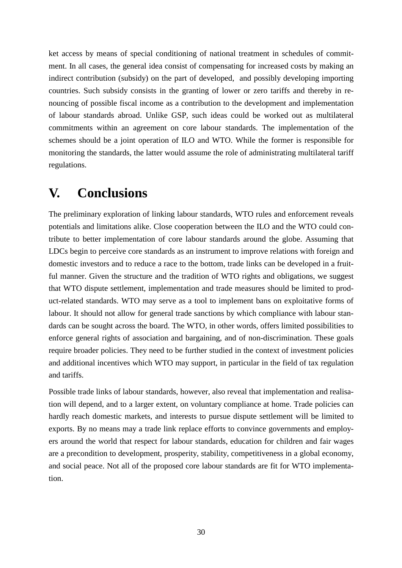ket access by means of special conditioning of national treatment in schedules of commitment. In all cases, the general idea consist of compensating for increased costs by making an indirect contribution (subsidy) on the part of developed, and possibly developing importing countries. Such subsidy consists in the granting of lower or zero tariffs and thereby in renouncing of possible fiscal income as a contribution to the development and implementation of labour standards abroad. Unlike GSP, such ideas could be worked out as multilateral commitments within an agreement on core labour standards. The implementation of the schemes should be a joint operation of ILO and WTO. While the former is responsible for monitoring the standards, the latter would assume the role of administrating multilateral tariff regulations.

## **V. Conclusions**

The preliminary exploration of linking labour standards, WTO rules and enforcement reveals potentials and limitations alike. Close cooperation between the ILO and the WTO could contribute to better implementation of core labour standards around the globe. Assuming that LDCs begin to perceive core standards as an instrument to improve relations with foreign and domestic investors and to reduce a race to the bottom, trade links can be developed in a fruitful manner. Given the structure and the tradition of WTO rights and obligations, we suggest that WTO dispute settlement, implementation and trade measures should be limited to product-related standards. WTO may serve as a tool to implement bans on exploitative forms of labour. It should not allow for general trade sanctions by which compliance with labour standards can be sought across the board. The WTO, in other words, offers limited possibilities to enforce general rights of association and bargaining, and of non-discrimination. These goals require broader policies. They need to be further studied in the context of investment policies and additional incentives which WTO may support, in particular in the field of tax regulation and tariffs.

Possible trade links of labour standards, however, also reveal that implementation and realisation will depend, and to a larger extent, on voluntary compliance at home. Trade policies can hardly reach domestic markets, and interests to pursue dispute settlement will be limited to exports. By no means may a trade link replace efforts to convince governments and employers around the world that respect for labour standards, education for children and fair wages are a precondition to development, prosperity, stability, competitiveness in a global economy, and social peace. Not all of the proposed core labour standards are fit for WTO implementation.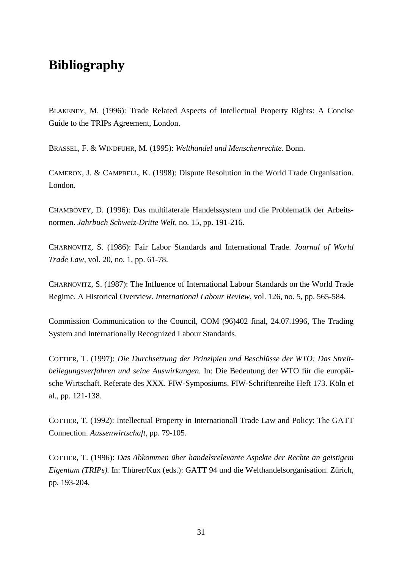## **Bibliography**

BLAKENEY, M. (1996): Trade Related Aspects of Intellectual Property Rights: A Concise Guide to the TRIPs Agreement, London.

BRASSEL, F. & WINDFUHR, M. (1995): *Welthandel und Menschenrechte*. Bonn.

CAMERON, J. & CAMPBELL, K. (1998): Dispute Resolution in the World Trade Organisation. London.

CHAMBOVEY, D. (1996): Das multilaterale Handelssystem und die Problematik der Arbeitsnormen. *Jahrbuch Schweiz-Dritte Welt,* no. 15, pp. 191-216.

CHARNOVITZ, S. (1986): Fair Labor Standards and International Trade. *Journal of World Trade Law*, vol. 20, no. 1, pp. 61-78.

CHARNOVITZ, S. (1987): The Influence of International Labour Standards on the World Trade Regime. A Historical Overview. *International Labour Review*, vol. 126, no. 5, pp. 565-584.

Commission Communication to the Council, COM (96)402 final, 24.07.1996, The Trading System and Internationally Recognized Labour Standards.

COTTIER, T. (1997): *Die Durchsetzung der Prinzipien und Beschlüsse der WTO: Das Streitbeilegungsverfahren und seine Auswirkungen*. In: Die Bedeutung der WTO für die europäische Wirtschaft. Referate des XXX. FIW-Symposiums. FIW-Schriftenreihe Heft 173. Köln et al., pp. 121-138.

COTTIER, T. (1992): Intellectual Property in Internationall Trade Law and Policy: The GATT Connection. *Aussenwirtschaft*, pp. 79-105.

COTTIER, T. (1996): *Das Abkommen über handelsrelevante Aspekte der Rechte an geistigem Eigentum (TRIPs).* In: Thürer/Kux (eds.): GATT 94 und die Welthandelsorganisation. Zürich, pp. 193-204.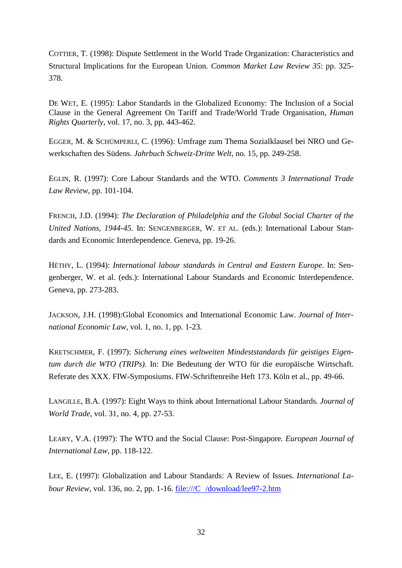COTTIER, T. (1998): Dispute Settlement in the World Trade Organization: Characteristics and Structural Implications for the European Union. *Common Market Law Review 35*: pp. 325- 378.

DE WET, E. (1995): Labor Standards in the Globalized Economy: The Inclusion of a Social Clause in the General Agreement On Tariff and Trade/World Trade Organisation, *Human Rights Quarterly*, vol. 17, no. 3, pp. 443-462.

EGGER, M. & SCHÜMPERLI, C. (1996): Umfrage zum Thema Sozialklausel bei NRO und Gewerkschaften des Südens. *Jahrbuch Schweiz-Dritte Welt*, no. 15, pp. 249-258.

EGLIN, R. (1997): Core Labour Standards and the WTO. *Comments 3 International Trade Law Review,* pp. 101-104.

FRENCH, J.D. (1994): *The Declaration of Philadelphia and the Global Social Charter of the United Nations, 1944-45.* In: SENGENBERGER, W. ET AL. (eds.): International Labour Standards and Economic Interdependence. Geneva, pp. 19-26.

HÉTHY, L. (1994): *International labour standards in Central and Eastern Europe.* In: Sengenberger, W. et al. (eds.): International Labour Standards and Economic Interdependence. Geneva, pp. 273-283.

JACKSON, J.H. (1998):Global Economics and International Economic Law. *Journal of International Economic Law,* vol. 1, no. 1, pp. 1-23.

KRETSCHMER, F. (1997): *Sicherung eines weltweiten Mindeststandards für geistiges Eigentum durch die WTO (TRIPs).* In: Die Bedeutung der WTO für die europäische Wirtschaft. Referate des XXX. FIW-Symposiums. FIW-Schriftenreihe Heft 173. Köln et al., pp. 49-66.

LANGILLE, B.A. (1997): Eight Ways to think about International Labour Standards*. Journal of World Trade*, vol. 31, no. 4, pp. 27-53.

LEARY, V.A. (1997): The WTO and the Social Clause: Post-Singapore*. European Journal of International Law,* pp. 118-122.

LEE, E. (1997): Globalization and Labour Standards: A Review of Issues. *International Labour Review, vol.* 136, no. 2, pp. 1-16.  $file://C|/download/lee97-2.htm$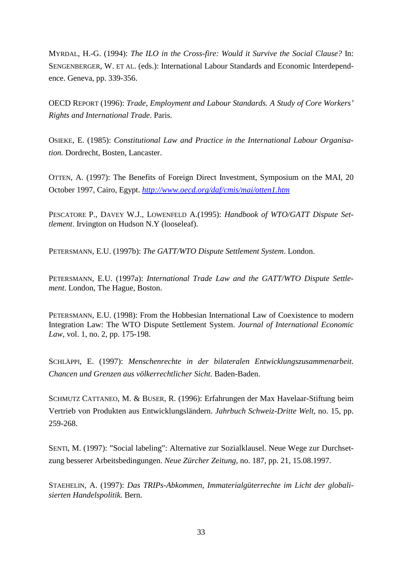MYRDAL, H.-G. (1994): *The ILO in the Cross-fire: Would it Survive the Social Clause?* In: SENGENBERGER, W. ET AL. (eds.): International Labour Standards and Economic Interdependence. Geneva, pp. 339-356.

OECD REPORT (1996): *Trade, Employment and Labour Standards. A Study of Core Workers' Rights and International Trade*. Paris.

OSIEKE, E. (1985): *Constitutional Law and Practice in the International Labour Organisation.* Dordrecht, Bosten, Lancaster.

OTTEN, A. (1997): The Benefits of Foreign Direct Investment, Symposium on the MAI, 20 October 1997, Cairo, Egypt. *http://www.oecd.org/daf/cmis/mai/otten1.htm*

PESCATORE P., DAVEY W.J., LOWENFELD A.(1995): *Handbook of WTO/GATT Dispute Settlement*. Irvington on Hudson N.Y (looseleaf).

PETERSMANN, E.U. (1997b): *The GATT/WTO Dispute Settlement System*. London.

PETERSMANN, E.U. (1997a): *International Trade Law and the GATT/WTO Dispute Settlement*. London, The Hague, Boston.

PETERSMANN, E.U. (1998): From the Hobbesian International Law of Coexistence to modern Integration Law: The WTO Dispute Settlement System. *Journal of International Economic Law*, vol. 1, no. 2, pp. 175-198.

SCHLÄPPI, E. (1997): *Menschenrechte in der bilateralen Entwicklungszusammenarbeit. Chancen und Grenzen aus völkerrechtlicher Sicht*. Baden-Baden.

SCHMUTZ CATTANEO, M. & BUSER, R. (1996): Erfahrungen der Max Havelaar-Stiftung beim Vertrieb von Produkten aus Entwicklungsländern. *Jahrbuch Schweiz-Dritte Welt,* no. 15, pp. 259-268.

SENTI, M. (1997): "Social labeling": Alternative zur Sozialklausel. Neue Wege zur Durchsetzung besserer Arbeitsbedingungen. *Neue Zürcher Zeitung,* no. 187, pp. 21, 15.08.1997.

STAEHELIN, A. (1997): *Das TRIPs-Abkommen, Immaterialgüterrechte im Licht der globalisierten Handelspolitik.* Bern.